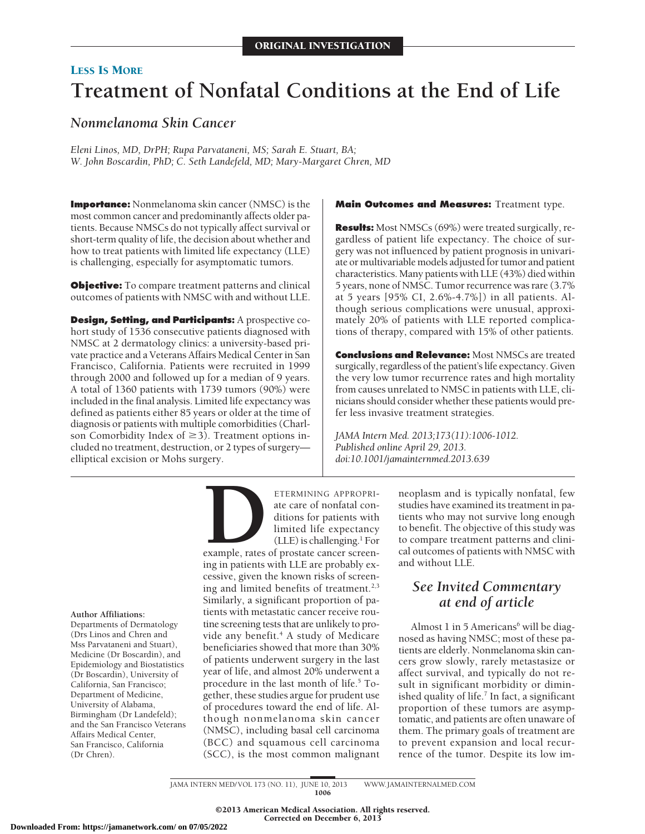## LESS IS MORE **Treatment of Nonfatal Conditions at the End of Life**

## *Nonmelanoma Skin Cancer*

*Eleni Linos, MD, DrPH; Rupa Parvataneni, MS; Sarah E. Stuart, BA; W. John Boscardin, PhD; C. Seth Landefeld, MD; Mary-Margaret Chren, MD*

**Importance:** Nonmelanoma skin cancer (NMSC) is the most common cancer and predominantly affects older patients. Because NMSCs do not typically affect survival or short-term quality of life, the decision about whether and how to treat patients with limited life expectancy (LLE) is challenging, especially for asymptomatic tumors.

**Objective:** To compare treatment patterns and clinical outcomes of patients with NMSC with and without LLE.

**Design, Setting, and Participants:** A prospective cohort study of 1536 consecutive patients diagnosed with NMSC at 2 dermatology clinics: a university-based private practice and a Veterans Affairs Medical Center in San Francisco, California. Patients were recruited in 1999 through 2000 and followed up for a median of 9 years. A total of 1360 patients with 1739 tumors (90%) were included in the final analysis. Limited life expectancy was defined as patients either 85 years or older at the time of diagnosis or patients with multiple comorbidities (Charlson Comorbidity Index of  $\geq$  3). Treatment options included no treatment, destruction, or 2 types of surgery elliptical excision or Mohs surgery.

#### **Main Outcomes and Measures:** Treatment type.

**Results:** Most NMSCs (69%) were treated surgically, regardless of patient life expectancy. The choice of surgery was not influenced by patient prognosis in univariate or multivariable models adjusted for tumor and patient characteristics. Many patients with LLE (43%) died within 5 years, none of NMSC. Tumor recurrence was rare (3.7% at 5 years [95% CI, 2.6%-4.7%]) in all patients. Although serious complications were unusual, approximately 20% of patients with LLE reported complications of therapy, compared with 15% of other patients.

**Conclusions and Relevance:** Most NMSCs are treated surgically, regardless of the patient's life expectancy. Given the very low tumor recurrence rates and high mortality from causes unrelated to NMSC in patients with LLE, clinicians should consider whether these patients would prefer less invasive treatment strategies.

*JAMA Intern Med. 2013;173(11):1006-1012. Published online April 29, 2013. doi:10.1001/jamainternmed.2013.639*

ETERMINING APPROPRI-<br>ate care of nonfatal con-<br>ditions for patients with<br>limited life expectancy<br>(LLE) is challenging.<sup>1</sup> For<br>example, rates of prostate cancer screen-<br>ing in patients with LLE are probably exate care of nonfatal conditions for patients with limited life expectancy (LLE) is challenging. $1$  For

example, rates of prostate cancer screening in patients with LLE are probably excessive, given the known risks of screening and limited benefits of treatment. $2,3$ Similarly, a significant proportion of patients with metastatic cancer receive routine screening tests that are unlikely to provide any benefit.<sup>4</sup> A study of Medicare beneficiaries showed that more than 30% of patients underwent surgery in the last year of life, and almost 20% underwent a procedure in the last month of life.<sup>5</sup> Together, these studies argue for prudent use of procedures toward the end of life. Although nonmelanoma skin cancer (NMSC), including basal cell carcinoma (BCC) and squamous cell carcinoma (SCC), is the most common malignant

neoplasm and is typically nonfatal, few studies have examined its treatment in patients who may not survive long enough to benefit. The objective of this study was to compare treatment patterns and clinical outcomes of patients with NMSC with and without LLE.

## *See Invited Commentary at end of article*

Almost 1 in 5 Americans $6$  will be diagnosed as having NMSC; most of these patients are elderly. Nonmelanoma skin cancers grow slowly, rarely metastasize or affect survival, and typically do not result in significant morbidity or diminished quality of life. $<sup>7</sup>$  In fact, a significant</sup> proportion of these tumors are asymptomatic, and patients are often unaware of them. The primary goals of treatment are to prevent expansion and local recurrence of the tumor. Despite its low im-

JAMA INTERN MED/ VOL 173 (NO. 11), JUNE 10, 2013 WWW. JAMAINTERNALMED.COM 1006

> ©2013 American Medical Association. All rights reserved. Corrected on December 6, 2013

**Author Affiliations:**

Departments of Dermatology (Drs Linos and Chren and Mss Parvataneni and Stuart), Medicine (Dr Boscardin), and Epidemiology and Biostatistics (Dr Boscardin), University of California, San Francisco; Department of Medicine, University of Alabama, Birmingham (Dr Landefeld); and the San Francisco Veterans Affairs Medical Center, San Francisco, California (Dr Chren).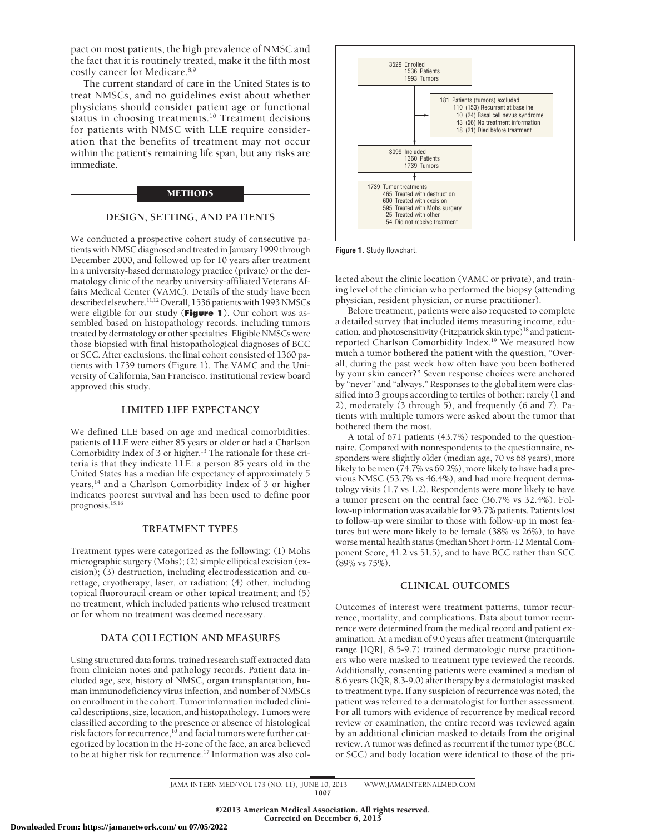pact on most patients, the high prevalence of NMSC and the fact that it is routinely treated, make it the fifth most costly cancer for Medicare.8,9

The current standard of care in the United States is to treat NMSCs, and no guidelines exist about whether physicians should consider patient age or functional status in choosing treatments.<sup>10</sup> Treatment decisions for patients with NMSC with LLE require consideration that the benefits of treatment may not occur within the patient's remaining life span, but any risks are immediate.

#### METHODS

#### **DESIGN, SETTING, AND PATIENTS**

We conducted a prospective cohort study of consecutive patients with NMSC diagnosed and treated in January 1999 through December 2000, and followed up for 10 years after treatment in a university-based dermatology practice (private) or the dermatology clinic of the nearby university-affiliated Veterans Affairs Medical Center (VAMC). Details of the study have been described elsewhere.<sup>11,12</sup> Overall, 1536 patients with 1993 NMSCs were eligible for our study (**Figure 1**). Our cohort was assembled based on histopathology records, including tumors treated by dermatology or other specialties. Eligible NMSCs were those biopsied with final histopathological diagnoses of BCC or SCC. After exclusions, the final cohort consisted of 1360 patients with 1739 tumors (Figure 1). The VAMC and the University of California, San Francisco, institutional review board approved this study.

#### **LIMITED LIFE EXPECTANCY**

We defined LLE based on age and medical comorbidities: patients of LLE were either 85 years or older or had a Charlson Comorbidity Index of  $3$  or higher.<sup>13</sup> The rationale for these criteria is that they indicate LLE: a person 85 years old in the United States has a median life expectancy of approximately 5 years,14 and a Charlson Comorbidity Index of 3 or higher indicates poorest survival and has been used to define poor prognosis.<sup>15,16</sup>

#### **TREATMENT TYPES**

Treatment types were categorized as the following: (1) Mohs micrographic surgery (Mohs); (2) simple elliptical excision (excision); (3) destruction, including electrodessication and curettage, cryotherapy, laser, or radiation; (4) other, including topical fluorouracil cream or other topical treatment; and (5) no treatment, which included patients who refused treatment or for whom no treatment was deemed necessary.

#### **DATA COLLECTION AND MEASURES**

Using structured data forms, trained research staff extracted data from clinician notes and pathology records. Patient data included age, sex, history of NMSC, organ transplantation, human immunodeficiency virus infection, and number of NMSCs on enrollment in the cohort. Tumor information included clinical descriptions, size, location, and histopathology. Tumors were classified according to the presence or absence of histological risk factors for recurrence,<sup>10</sup> and facial tumors were further categorized by location in the H-zone of the face, an area believed to be at higher risk for recurrence.<sup>17</sup> Information was also col-



**Figure 1.** Study flowchart.

lected about the clinic location (VAMC or private), and training level of the clinician who performed the biopsy (attending physician, resident physician, or nurse practitioner).

Before treatment, patients were also requested to complete a detailed survey that included items measuring income, education, and photosensitivity (Fitzpatrick skin type)<sup>18</sup> and patientreported Charlson Comorbidity Index.<sup>19</sup> We measured how much a tumor bothered the patient with the question, "Overall, during the past week how often have you been bothered by your skin cancer?" Seven response choices were anchored by "never" and "always." Responses to the global item were classified into 3 groups according to tertiles of bother: rarely (1 and 2), moderately (3 through 5), and frequently (6 and 7). Patients with multiple tumors were asked about the tumor that bothered them the most.

A total of 671 patients (43.7%) responded to the questionnaire. Compared with nonrespondents to the questionnaire, responders were slightly older (median age, 70 vs 68 years), more likely to be men (74.7% vs 69.2%), more likely to have had a previous NMSC (53.7% vs 46.4%), and had more frequent dermatology visits (1.7 vs 1.2). Respondents were more likely to have a tumor present on the central face (36.7% vs 32.4%). Follow-up information was available for 93.7% patients. Patients lost to follow-up were similar to those with follow-up in most features but were more likely to be female (38% vs 26%), to have worse mental health status (median Short Form-12 Mental Component Score, 41.2 vs 51.5), and to have BCC rather than SCC (89% vs 75%).

#### **CLINICAL OUTCOMES**

Outcomes of interest were treatment patterns, tumor recurrence, mortality, and complications. Data about tumor recurrence were determined from the medical record and patient examination. At a median of 9.0 years after treatment (interquartile range [IQR], 8.5-9.7) trained dermatologic nurse practitioners who were masked to treatment type reviewed the records. Additionally, consenting patients were examined a median of 8.6 years (IQR, 8.3-9.0) after therapy by a dermatologist masked to treatment type. If any suspicion of recurrence was noted, the patient was referred to a dermatologist for further assessment. For all tumors with evidence of recurrence by medical record review or examination, the entire record was reviewed again by an additional clinician masked to details from the original review. A tumor was defined as recurrent if the tumor type (BCC or SCC) and body location were identical to those of the pri-

JAMA INTERN MED/ VOL 173 (NO. 11), JUNE 10, 2013 WWW. JAMAINTERNALMED.COM 1007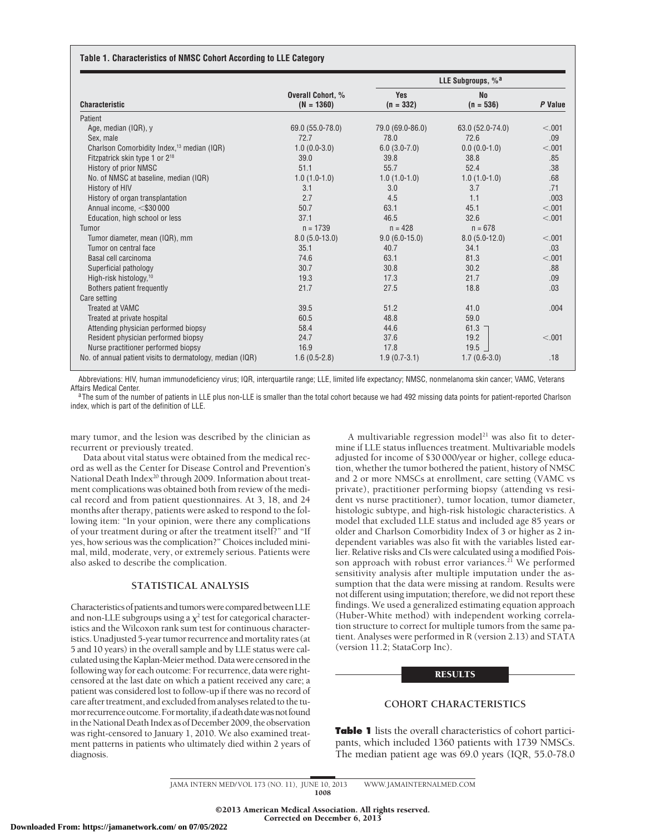#### **Table 1. Characteristics of NMSC Cohort According to LLE Category**

| <b>Characteristic</b>                                     | Overall Cohort, %<br>$(N = 1360)$ | LLE Subgroups, % <sup>a</sup> |                          |         |
|-----------------------------------------------------------|-----------------------------------|-------------------------------|--------------------------|---------|
|                                                           |                                   | Yes<br>$(n = 332)$            | <b>No</b><br>$(n = 536)$ | P Value |
| Patient                                                   |                                   |                               |                          |         |
| Age, median (IQR), y                                      | 69.0 (55.0-78.0)                  | 79.0 (69.0-86.0)              | 63.0 (52.0-74.0)         | < .001  |
| Sex, male                                                 | 72.7                              | 78.0                          | 72.6                     | .09     |
| Charlson Comorbidity Index, <sup>13</sup> median (IQR)    | $1.0(0.0-3.0)$                    | $6.0(3.0-7.0)$                | $0.0(0.0-1.0)$           | < .001  |
| Fitzpatrick skin type 1 or 2 <sup>18</sup>                | 39.0                              | 39.8                          | 38.8                     | .85     |
| History of prior NMSC                                     | 51.1                              | 55.7                          | 52.4                     | .38     |
| No. of NMSC at baseline, median (IQR)                     | $1.0(1.0-1.0)$                    | $1.0(1.0-1.0)$                | $1.0(1.0-1.0)$           | .68     |
| History of HIV                                            | 3.1                               | 3.0                           | 3.7                      | .71     |
| History of organ transplantation                          | 2.7                               | 4.5                           | 1.1                      | .003    |
| Annual income, <\$30 000                                  | 50.7                              | 63.1                          | 45.1                     | < .001  |
| Education, high school or less                            | 37.1                              | 46.5                          | 32.6                     | < .001  |
| Tumor                                                     | $n = 1739$                        | $n = 428$                     | $n = 678$                |         |
| Tumor diameter, mean (IQR), mm                            | $8.0(5.0-13.0)$                   | $9.0(6.0-15.0)$               | $8.0(5.0-12.0)$          | < .001  |
| Tumor on central face                                     | 35.1                              | 40.7                          | 34.1                     | .03     |
| Basal cell carcinoma                                      | 74.6                              | 63.1                          | 81.3                     | < .001  |
| Superficial pathology                                     | 30.7                              | 30.8                          | 30.2                     | .88     |
| High-risk histology, <sup>10</sup>                        | 19.3                              | 17.3                          | 21.7                     | .09     |
| Bothers patient frequently                                | 21.7                              | 27.5                          | 18.8                     | .03     |
| Care setting                                              |                                   |                               |                          |         |
| <b>Treated at VAMC</b>                                    | 39.5                              | 51.2                          | 41.0                     | .004    |
| Treated at private hospital                               | 60.5                              | 48.8                          | 59.0                     |         |
| Attending physician performed biopsy                      | 58.4                              | 44.6                          | $61.3 -$                 |         |
| Resident physician performed biopsy                       | 24.7                              | 37.6                          | 19.2                     | < .001  |
| Nurse practitioner performed biopsy                       | 16.9                              | 17.8                          | 19.5                     |         |
| No. of annual patient visits to dermatology, median (IQR) | $1.6(0.5-2.8)$                    | $1.9(0.7-3.1)$                | $1.7(0.6-3.0)$           | .18     |

Abbreviations: HIV, human immunodeficiency virus; IQR, interquartile range; LLE, limited life expectancy; NMSC, nonmelanoma skin cancer; VAMC, Veterans Affairs Medical Center.<br><sup>a</sup>The sum of the number of patients in LLE plus non-LLE is smaller than the total cohort because we had 492 missing data points for patient-reported Charlson

index, which is part of the definition of LLE.

mary tumor, and the lesion was described by the clinician as recurrent or previously treated.

Data about vital status were obtained from the medical record as well as the Center for Disease Control and Prevention's National Death Index<sup>20</sup> through 2009. Information about treatment complications was obtained both from review of the medical record and from patient questionnaires. At 3, 18, and 24 months after therapy, patients were asked to respond to the following item: "In your opinion, were there any complications of your treatment during or after the treatment itself?" and "If yes, how serious was the complication?" Choices included minimal, mild, moderate, very, or extremely serious. Patients were also asked to describe the complication.

#### **STATISTICAL ANALYSIS**

Characteristics of patients and tumors were compared between LLE and non-LLE subgroups using a  $\chi^2$  test for categorical characteristics and the Wilcoxon rank sum test for continuous characteristics. Unadjusted 5-year tumor recurrence and mortality rates (at 5 and 10 years) in the overall sample and by LLE status were calculated using the Kaplan-Meier method. Data were censored in the following way for each outcome: For recurrence, data were rightcensored at the last date on which a patient received any care; a patient was considered lost to follow-up if there was no record of -<br>care after treatment, and excluded from analyses related to the tumor recurrence outcome. For mortality, if a death date was not found in the National Death Index as of December 2009, the observation was right-censored to January 1, 2010. We also examined treatment patterns in patients who ultimately died within 2 years of diagnosis.

A multivariable regression model<sup>21</sup> was also fit to determine if LLE status influences treatment. Multivariable models adjusted for income of \$30 000/year or higher, college education, whether the tumor bothered the patient, history of NMSC and 2 or more NMSCs at enrollment, care setting (VAMC vs private), practitioner performing biopsy (attending vs resident vs nurse practitioner), tumor location, tumor diameter, histologic subtype, and high-risk histologic characteristics. A model that excluded LLE status and included age 85 years or older and Charlson Comorbidity Index of 3 or higher as 2 independent variables was also fit with the variables listed earlier. Relative risks and CIs were calculated using a modified Poisson approach with robust error variances.<sup>21</sup> We performed sensitivity analysis after multiple imputation under the assumption that the data were missing at random. Results were not different using imputation; therefore, we did not report these findings. We used a generalized estimating equation approach (Huber-White method) with independent working correlation structure to correct for multiple tumors from the same patient. Analyses were performed in R (version 2.13) and STATA (version 11.2; StataCorp Inc).

#### RESULTS

#### **COHORT CHARACTERISTICS**

**Table 1** lists the overall characteristics of cohort participants, which included 1360 patients with 1739 NMSCs. The median patient age was 69.0 years (IQR, 55.0-78.0

JAMA INTERN MED/ VOL 173 (NO. 11), JUNE 10, 2013 WWW. JAMAINTERNALMED.COM 1008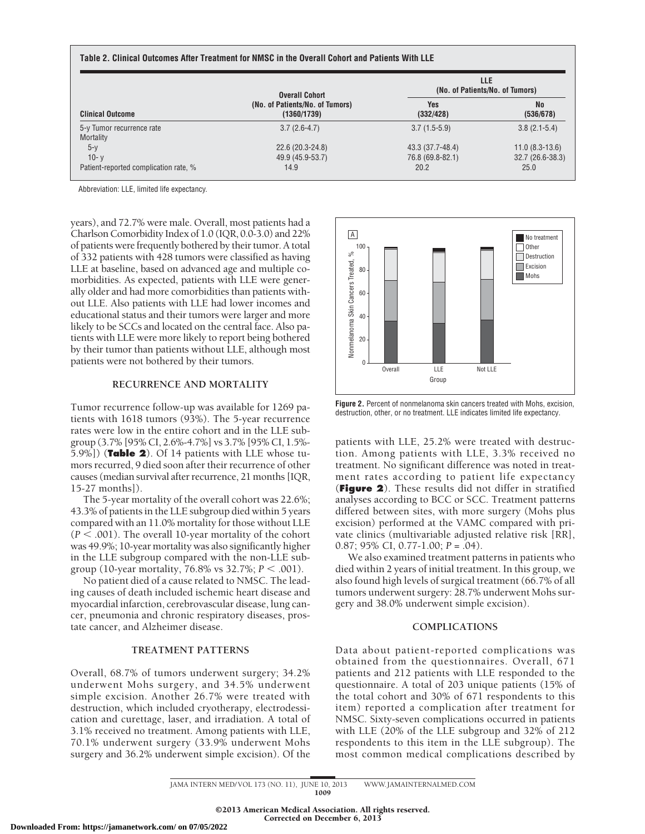| <b>Clinical Outcome</b>                | <b>Overall Cohort</b>                          | <b>LLE</b><br>(No. of Patients/No. of Tumors) |                        |  |
|----------------------------------------|------------------------------------------------|-----------------------------------------------|------------------------|--|
|                                        | (No. of Patients/No. of Tumors)<br>(1360/1739) | <b>Yes</b><br>(332/428)                       | <b>No</b><br>(536/678) |  |
| 5-y Tumor recurrence rate<br>Mortality | $3.7(2.6-4.7)$                                 | $3.7(1.5-5.9)$                                | $3.8(2.1-5.4)$         |  |
| $5-y$                                  | 22.6 (20.3-24.8)                               | 43.3 (37.7-48.4)                              | $11.0(8.3-13.6)$       |  |
| $10 - v$                               | 49.9 (45.9-53.7)                               | 76.8 (69.8-82.1)                              | $32.7(26.6-38.3)$      |  |
| Patient-reported complication rate, %  | 14.9                                           | 20.2                                          | 25.0                   |  |

Abbreviation: LLE, limited life expectancy.

years), and 72.7% were male. Overall, most patients had a Charlson Comorbidity Index of 1.0 (IQR, 0.0-3.0) and 22% of patients were frequently bothered by their tumor. A total of 332 patients with 428 tumors were classified as having LLE at baseline, based on advanced age and multiple comorbidities. As expected, patients with LLE were generally older and had more comorbidities than patients without LLE. Also patients with LLE had lower incomes and educational status and their tumors were larger and more likely to be SCCs and located on the central face. Also patients with LLE were more likely to report being bothered by their tumor than patients without LLE, although most patients were not bothered by their tumors.

#### **RECURRENCE AND MORTALITY**

Tumor recurrence follow-up was available for 1269 patients with 1618 tumors (93%). The 5-year recurrence rates were low in the entire cohort and in the LLE subgroup (3.7% [95% CI, 2.6%-4.7%] vs 3.7% [95% CI, 1.5%- 5.9%]) (**Table 2**). Of 14 patients with LLE whose tumors recurred, 9 died soon after their recurrence of other causes (median survival after recurrence, 21 months [IQR, 15-27 months]).

The 5-year mortality of the overall cohort was 22.6%; 43.3% of patients in the LLE subgroup died within 5 years compared with an 11.0% mortality for those without LLE  $(P < .001)$ . The overall 10-year mortality of the cohort was 49.9%; 10-year mortality was also significantly higher in the LLE subgroup compared with the non-LLE subgroup (10-year mortality,  $76.8\%$  vs  $32.7\%; P < .001$ ).

No patient died of a cause related to NMSC. The leading causes of death included ischemic heart disease and myocardial infarction, cerebrovascular disease, lung cancer, pneumonia and chronic respiratory diseases, prostate cancer, and Alzheimer disease.

#### **TREATMENT PATTERNS**

Overall, 68.7% of tumors underwent surgery; 34.2% underwent Mohs surgery, and 34.5% underwent simple excision. Another 26.7% were treated with destruction, which included cryotherapy, electrodessication and curettage, laser, and irradiation. A total of 3.1% received no treatment. Among patients with LLE, 70.1% underwent surgery (33.9% underwent Mohs surgery and 36.2% underwent simple excision). Of the



**Figure 2.** Percent of nonmelanoma skin cancers treated with Mohs, excision, destruction, other, or no treatment. LLE indicates limited life expectancy.

patients with LLE, 25.2% were treated with destruction. Among patients with LLE, 3.3% received no treatment. No significant difference was noted in treatment rates according to patient life expectancy (**Figure 2**). These results did not differ in stratified analyses according to BCC or SCC. Treatment patterns differed between sites, with more surgery (Mohs plus excision) performed at the VAMC compared with private clinics (multivariable adjusted relative risk [RR], 0.87; 95% CI, 0.77-1.00; *P* = .04).

We also examined treatment patterns in patients who died within 2 years of initial treatment. In this group, we also found high levels of surgical treatment (66.7% of all tumors underwent surgery: 28.7% underwent Mohs surgery and 38.0% underwent simple excision).

## **COMPLICATIONS**

Data about patient-reported complications was obtained from the questionnaires. Overall, 671 patients and 212 patients with LLE responded to the questionnaire. A total of 203 unique patients (15% of the total cohort and 30% of 671 respondents to this item) reported a complication after treatment for NMSC. Sixty-seven complications occurred in patients with LLE (20% of the LLE subgroup and 32% of 212 respondents to this item in the LLE subgroup). The most common medical complications described by

JAMA INTERN MED/ VOL 173 (NO. 11), JUNE 10, 2013 WWW. JAMAINTERNALMED.COM 1009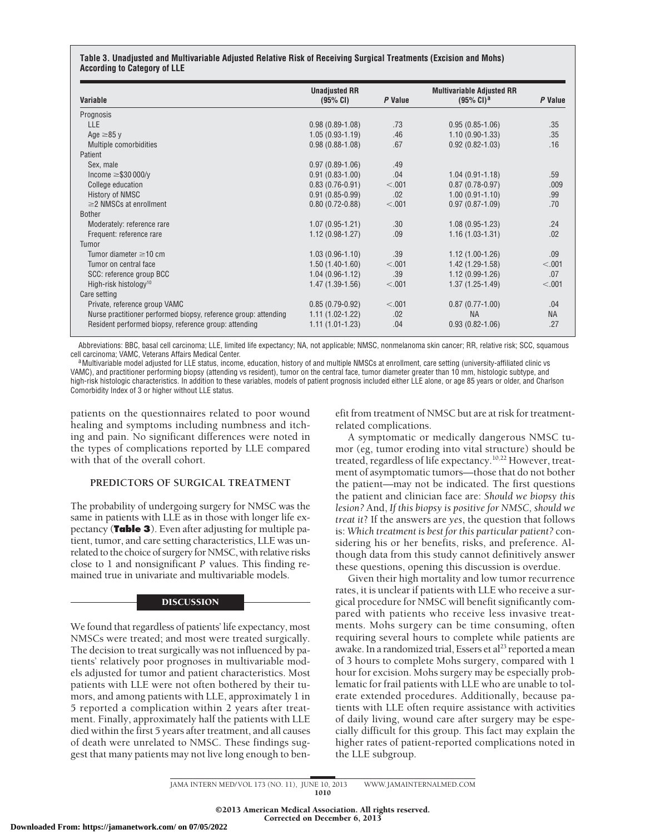#### **Table 3. Unadjusted and Multivariable Adjusted Relative Risk of Receiving Surgical Treatments (Excision and Mohs) According to Category of LLE**

| Variable                                                        | <b>Unadjusted RR</b><br>(95% CI) | P Value | <b>Multivariable Adjusted RR</b><br>$(95\% \text{ Cl})^a$ | P Value   |
|-----------------------------------------------------------------|----------------------------------|---------|-----------------------------------------------------------|-----------|
| Prognosis                                                       |                                  |         |                                                           |           |
| <b>LLE</b>                                                      | $0.98(0.89-1.08)$                | .73     | $0.95(0.85-1.06)$                                         | .35       |
| Age $\geq$ 85 y                                                 | $1.05(0.93-1.19)$                | .46     | $1.10(0.90-1.33)$                                         | .35       |
| Multiple comorbidities                                          | $0.98(0.88-1.08)$                | .67     | $0.92(0.82 - 1.03)$                                       | .16       |
| Patient                                                         |                                  |         |                                                           |           |
| Sex, male                                                       | $0.97(0.89 - 1.06)$              | .49     |                                                           |           |
| Income $\geq$ \$30 000/y                                        | $0.91(0.83 - 1.00)$              | .04     | $1.04(0.91 - 1.18)$                                       | .59       |
| College education                                               | $0.83(0.76-0.91)$                | < .001  | $0.87(0.78-0.97)$                                         | .009      |
| <b>History of NMSC</b>                                          | $0.91(0.85 - 0.99)$              | .02     | $1.00(0.91-1.10)$                                         | .99       |
| $\geq$ 2 NMSCs at enrollment                                    | $0.80(0.72-0.88)$                | < .001  | $0.97(0.87 - 1.09)$                                       | .70       |
| <b>Bother</b>                                                   |                                  |         |                                                           |           |
| Moderately: reference rare                                      | $1.07(0.95 - 1.21)$              | .30     | $1.08(0.95-1.23)$                                         | .24       |
| Frequent: reference rare                                        | $1.12(0.98-1.27)$                | .09     | $1.16(1.03-1.31)$                                         | .02       |
| Tumor                                                           |                                  |         |                                                           |           |
| Tumor diameter $\geq$ 10 cm                                     | $1.03(0.96-1.10)$                | .39     | $1.12(1.00-1.26)$                                         | .09       |
| Tumor on central face                                           | $1.50(1.40-1.60)$                | < 0.001 | $1.42(1.29-1.58)$                                         | < .001    |
| SCC: reference group BCC                                        | $1.04(0.96-1.12)$                | .39     | $1.12(0.99-1.26)$                                         | .07       |
| High-risk histology <sup>10</sup>                               | $1.47(1.39-1.56)$                | < .001  | $1.37(1.25-1.49)$                                         | < .001    |
| Care setting                                                    |                                  |         |                                                           |           |
| Private, reference group VAMC                                   | $0.85(0.79-0.92)$                | < .001  | $0.87(0.77-1.00)$                                         | .04       |
| Nurse practitioner performed biopsy, reference group: attending | $1.11(1.02-1.22)$                | .02     | <b>NA</b>                                                 | <b>NA</b> |
| Resident performed biopsy, reference group: attending           | $1.11(1.01-1.23)$                | .04     | $0.93(0.82 - 1.06)$                                       | .27       |

Abbreviations: BBC, basal cell carcinoma; LLE, limited life expectancy; NA, not applicable; NMSC, nonmelanoma skin cancer; RR, relative risk; SCC, squamous cell carcinoma; VAMC, Veterans Affairs Medical Center.

a Multivariable model adjusted for LLE status, income, education, history of and multiple NMSCs at enrollment, care setting (university-affiliated clinic vs VAMC), and practitioner performing biopsy (attending vs resident), tumor on the central face, tumor diameter greater than 10 mm, histologic subtype, and high-risk histologic characteristics. In addition to these variables, models of patient prognosis included either LLE alone, or age 85 years or older, and Charlson Comorbidity Index of 3 or higher without LLE status.

patients on the questionnaires related to poor wound healing and symptoms including numbness and itching and pain. No significant differences were noted in the types of complications reported by LLE compared with that of the overall cohort.

#### **PREDICTORS OF SURGICAL TREATMENT**

The probability of undergoing surgery for NMSC was the same in patients with LLE as in those with longer life expectancy (**Table 3**). Even after adjusting for multiple patient, tumor, and care setting characteristics, LLE was unrelated to the choice of surgery for NMSC, with relative risks close to 1 and nonsignificant *P* values. This finding remained true in univariate and multivariable models.

#### **DISCUSSION**

We found that regardless of patients' life expectancy, most NMSCs were treated; and most were treated surgically. The decision to treat surgically was not influenced by patients' relatively poor prognoses in multivariable models adjusted for tumor and patient characteristics. Most patients with LLE were not often bothered by their tumors, and among patients with LLE, approximately 1 in 5 reported a complication within 2 years after treatment. Finally, approximately half the patients with LLE died within the first 5 years after treatment, and all causes of death were unrelated to NMSC. These findings suggest that many patients may not live long enough to benefit from treatment of NMSC but are at risk for treatmentrelated complications.

A symptomatic or medically dangerous NMSC tumor (eg, tumor eroding into vital structure) should be treated, regardless of life expectancy.10,22 However, treatment of asymptomatic tumors—those that do not bother the patient—may not be indicated. The first questions the patient and clinician face are: *Should we biopsy this lesion?* And, *If this biopsy is positive for NMSC, should we treat it*? If the answers are *yes*, the question that follows is: *Which treatment is best for this particular patient?* considering his or her benefits, risks, and preference. Although data from this study cannot definitively answer these questions, opening this discussion is overdue.

Given their high mortality and low tumor recurrence rates, it is unclear if patients with LLE who receive a surgical procedure for NMSC will benefit significantly compared with patients who receive less invasive treatments. Mohs surgery can be time consuming, often requiring several hours to complete while patients are awake. In a randomized trial, Essers et al<sup>23</sup> reported a mean of 3 hours to complete Mohs surgery, compared with 1 hour for excision. Mohs surgery may be especially problematic for frail patients with LLE who are unable to tolerate extended procedures. Additionally, because patients with LLE often require assistance with activities of daily living, wound care after surgery may be especially difficult for this group. This fact may explain the higher rates of patient-reported complications noted in the LLE subgroup.

JAMA INTERN MED/ VOL 173 (NO. 11), JUNE 10, 2013 WWW. JAMAINTERNALMED.COM 1010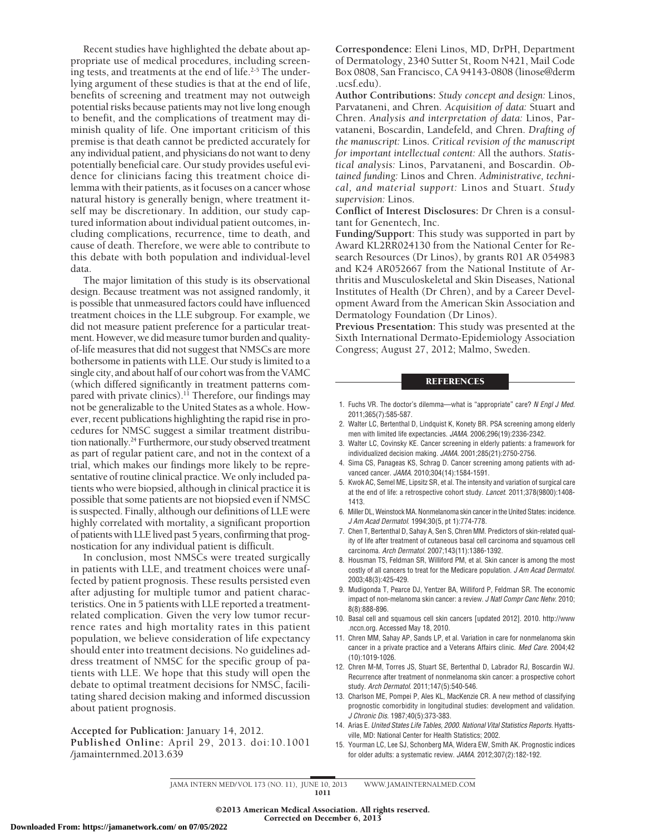Recent studies have highlighted the debate about appropriate use of medical procedures, including screening tests, and treatments at the end of life.<sup>2-5</sup> The underlying argument of these studies is that at the end of life, benefits of screening and treatment may not outweigh potential risks because patients may not live long enough to benefit, and the complications of treatment may diminish quality of life. One important criticism of this premise is that death cannot be predicted accurately for any individual patient, and physicians do not want to deny potentially beneficial care. Our study provides useful evidence for clinicians facing this treatment choice dilemma with their patients, as it focuses on a cancer whose natural history is generally benign, where treatment itself may be discretionary. In addition, our study captured information about individual patient outcomes, including complications, recurrence, time to death, and cause of death. Therefore, we were able to contribute to this debate with both population and individual-level data.

The major limitation of this study is its observational design. Because treatment was not assigned randomly, it is possible that unmeasured factors could have influenced treatment choices in the LLE subgroup. For example, we did not measure patient preference for a particular treatment. However, we did measure tumor burden and qualityof-life measures that did not suggest that NMSCs are more bothersome in patients with LLE. Our study is limited to a single city, and about half of our cohort was from the VAMC (which differed significantly in treatment patterns compared with private clinics).<sup>11</sup> Therefore, our findings may not be generalizable to the United States as a whole. However, recent publications highlighting the rapid rise in procedures for NMSC suggest a similar treatment distribution nationally.<sup>24</sup> Furthermore, our study observed treatment as part of regular patient care, and not in the context of a trial, which makes our findings more likely to be representative of routine clinical practice. We only included patients who were biopsied, although in clinical practice it is possible that some patients are not biopsied even if NMSC is suspected. Finally, although our definitions of LLE were highly correlated with mortality, a significant proportion of patients with LLE lived past 5 years, confirming that prognostication for any individual patient is difficult.

In conclusion, most NMSCs were treated surgically in patients with LLE, and treatment choices were unaffected by patient prognosis. These results persisted even after adjusting for multiple tumor and patient characteristics. One in 5 patients with LLE reported a treatmentrelated complication. Given the very low tumor recurrence rates and high mortality rates in this patient population, we believe consideration of life expectancy should enter into treatment decisions. No guidelines address treatment of NMSC for the specific group of patients with LLE. We hope that this study will open the debate to optimal treatment decisions for NMSC, facilitating shared decision making and informed discussion about patient prognosis.

**Accepted for Publication:** January 14, 2012.

**Published Online:** April 29, 2013. doi:10.1001 /jamainternmed.2013.639

**Correspondence:** Eleni Linos, MD, DrPH, Department of Dermatology, 2340 Sutter St, Room N421, Mail Code Box 0808, San Francisco, CA 94143-0808 (linose@derm .ucsf.edu).

**Author Contributions:** *Study concept and design:* Linos, Parvataneni, and Chren. *Acquisition of data:* Stuart and Chren. *Analysis and interpretation of data:* Linos, Parvataneni, Boscardin, Landefeld, and Chren. *Drafting of the manuscript:* Linos. *Critical revision of the manuscript for important intellectual content:* All the authors. *Statistical analysis:* Linos, Parvataneni, and Boscardin. *Obtained funding:* Linos and Chren. *Administrative, technical, and material support:* Linos and Stuart. *Study supervision:* Linos.

**Conflict of Interest Disclosures:** Dr Chren is a consultant for Genentech, Inc.

**Funding/Support**: This study was supported in part by Award KL2RR024130 from the National Center for Research Resources (Dr Linos), by grants R01 AR 054983 and K24 AR052667 from the National Institute of Arthritis and Musculoskeletal and Skin Diseases, National Institutes of Health (Dr Chren), and by a Career Development Award from the American Skin Association and Dermatology Foundation (Dr Linos).

**Previous Presentation:** This study was presented at the Sixth International Dermato-Epidemiology Association Congress; August 27, 2012; Malmo, Sweden.

#### **REFERENCES**

- 1. Fuchs VR. The doctor's dilemma—what is "appropriate" care? *N Engl J Med*. 2011;365(7):585-587.
- 2. Walter LC, Bertenthal D, Lindquist K, Konety BR. PSA screening among elderly men with limited life expectancies. *JAMA*. 2006;296(19):2336-2342.
- 3. Walter LC, Covinsky KE. Cancer screening in elderly patients: a framework for individualized decision making. *JAMA*. 2001;285(21):2750-2756.
- 4. Sima CS, Panageas KS, Schrag D. Cancer screening among patients with advanced cancer. *JAMA*. 2010;304(14):1584-1591.
- 5. Kwok AC, Semel ME, Lipsitz SR, et al. The intensity and variation of surgical care at the end of life: a retrospective cohort study. *Lancet*. 2011;378(9800):1408- 1413.
- 6. Miller DL, Weinstock MA. Nonmelanoma skin cancer in the United States: incidence. *J Am Acad Dermatol*. 1994;30(5, pt 1):774-778.
- 7. Chen T, Bertenthal D, Sahay A, Sen S, Chren MM. Predictors of skin-related quality of life after treatment of cutaneous basal cell carcinoma and squamous cell carcinoma. *Arch Dermatol*. 2007;143(11):1386-1392.
- 8. Housman TS, Feldman SR, Williford PM, et al. Skin cancer is among the most costly of all cancers to treat for the Medicare population. *J Am Acad Dermatol*. 2003;48(3):425-429.
- 9. Mudigonda T, Pearce DJ, Yentzer BA, Williford P, Feldman SR. The economic impact of non-melanoma skin cancer: a review. *J Natl Compr Canc Netw*. 2010; 8(8):888-896.
- 10. Basal cell and squamous cell skin cancers [updated 2012]. 2010. http://www .nccn.org. Accessed May 18, 2010.
- 11. Chren MM, Sahay AP, Sands LP, et al. Variation in care for nonmelanoma skin cancer in a private practice and a Veterans Affairs clinic. *Med Care*. 2004;42 (10):1019-1026.
- 12. Chren M-M, Torres JS, Stuart SE, Bertenthal D, Labrador RJ, Boscardin WJ. Recurrence after treatment of nonmelanoma skin cancer: a prospective cohort study. *Arch Dermatol*. 2011;147(5):540-546.
- 13. Charlson ME, Pompei P, Ales KL, MacKenzie CR. A new method of classifying prognostic comorbidity in longitudinal studies: development and validation. *J Chronic Dis*. 1987;40(5):373-383.
- 14. Arias E. *United States Life Tables, 2000. National Vital Statistics Reports.* Hyattsville, MD: National Center for Health Statistics; 2002.
- 15. Yourman LC, Lee SJ, Schonberg MA, Widera EW, Smith AK. Prognostic indices for older adults: a systematic review. *JAMA*. 2012;307(2):182-192.

JAMA INTERN MED/ VOL 173 (NO. 11), JUNE 10, 2013 WWW. JAMAINTERNALMED.COM 1011